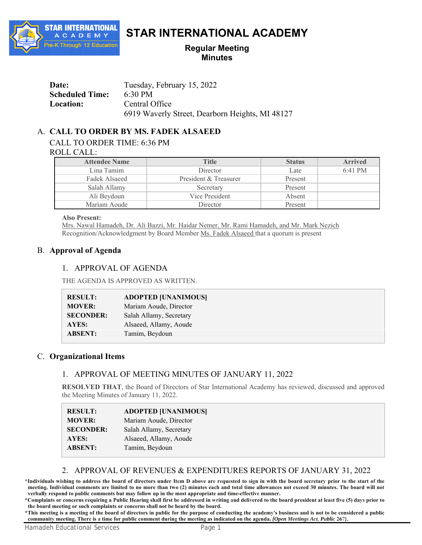

# **STAR INTERNATIONAL ACADEMY**

## **Regular Meeting Minutes**

| Date:                  | Tuesday, February 15, 2022                      |
|------------------------|-------------------------------------------------|
| <b>Scheduled Time:</b> | 6:30 PM                                         |
| Location:              | Central Office                                  |
|                        | 6919 Waverly Street, Dearborn Heights, MI 48127 |

# A. **CALL TO ORDER BY MS. FADEK ALSAEED**

CALL TO ORDER TIME: 6:36 PM

ROLL CALL:

| <b>Attendee Name</b> | <b>Title</b>          | <b>Status</b> | <b>Arrived</b>    |
|----------------------|-----------------------|---------------|-------------------|
| Lina Tamim           | Director              | Late          | $6:41 \text{ PM}$ |
| Fadek Alsaeed        | President & Treasurer | Present       |                   |
| Salah Allamy         | Secretary             | Present       |                   |
| Ali Beydoun          | Vice President        | Absent        |                   |
| Mariam Aoude         | Director              | Present       |                   |

**Also Present:** 

Mrs. Nawal Hamadeh, Dr. Ali Bazzi, Mr. Haidar Nemer, Mr. Rami Hamadeh, and Mr. Mark Nezich Recognition/Acknowledgment by Board Member Ms. Fadek Alsaeed that a quorum is present

#### B. **Approval of Agenda**

#### 1. APPROVAL OF AGENDA

THE AGENDA IS APPROVED AS WRITTEN.

| <b>RESULT:</b>   | <b>ADOPTED [UNANIMOUS]</b> |
|------------------|----------------------------|
| <b>MOVER:</b>    | Mariam Aoude, Director     |
| <b>SECONDER:</b> | Salah Allamy, Secretary    |
| AYES:            | Alsaeed, Allamy, Aoude     |
| <b>ABSENT:</b>   | Tamim, Beydoun             |
|                  |                            |

#### C. **Organizational Items**

## 1. APPROVAL OF MEETING MINUTES OF JANUARY 11, 2022

**RESOLVED THAT**, the Board of Directors of Star International Academy has reviewed, discussed and approved the Meeting Minutes of January 11, 2022.

| <b>RESULT:</b>   | <b>ADOPTED [UNANIMOUS]</b> |
|------------------|----------------------------|
| <b>MOVER:</b>    | Mariam Aoude, Director     |
| <b>SECONDER:</b> | Salah Allamy, Secretary    |
| <b>AYES:</b>     | Alsaeed, Allamy, Aoude     |
| <b>ABSENT:</b>   | Tamim, Beydoun             |

## 2. APPROVAL OF REVENUES & EXPENDITURES REPORTS OF JANUARY 31, 2022

**\*Individuals wishing to address the board of directors under Item D above are requested to sign in with the board secretary prior to the start of the meeting. Individual comments are limited to no more than two (2) minutes each and total time allowances not exceed 30 minutes. The board will not verbally respond to public comments but may follow up in the most appropriate and time-effective manner.**

**\*Complaints or concerns requiring a Public Hearing shall first be addressed in writing and delivered to the board president at least five (5) days prior to the board meeting or such complaints or concerns shall not be heard by the board.**

**\*This meeting is a meeting of the board of directors in public for the purpose of conducting the academy's business and is not to be considered a public community meeting. There is a time for public comment during the meeting as indicated on the agenda.** *[Open Meetings Act, Public* **267}.**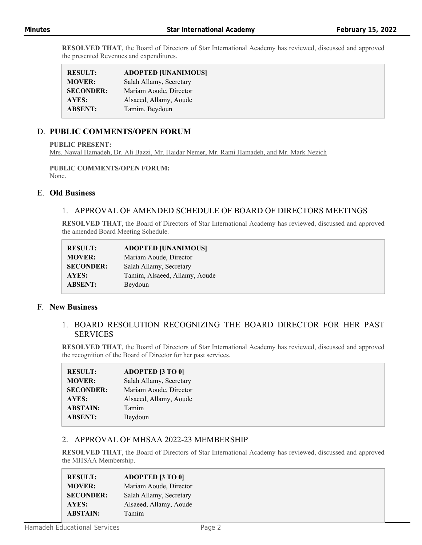**RESOLVED THAT**, the Board of Directors of Star International Academy has reviewed, discussed and approved the presented Revenues and expenditures.

| <b>RESULT:</b>   | <b>ADOPTED [UNANIMOUS]</b> |
|------------------|----------------------------|
| <b>MOVER:</b>    | Salah Allamy, Secretary    |
| <b>SECONDER:</b> | Mariam Aoude, Director     |
| AYES:            | Alsaeed, Allamy, Aoude     |
| <b>ABSENT:</b>   | Tamim, Beydoun             |
|                  |                            |

## D. **PUBLIC COMMENTS/OPEN FORUM**

**PUBLIC PRESENT:** 

Mrs. Nawal Hamadeh, Dr. Ali Bazzi, Mr. Haidar Nemer, Mr. Rami Hamadeh, and Mr. Mark Nezich

## **PUBLIC COMMENTS/OPEN FORUM:**

None.

## E. **Old Business**

#### 1. APPROVAL OF AMENDED SCHEDULE OF BOARD OF DIRECTORS MEETINGS

**RESOLVED THAT**, the Board of Directors of Star International Academy has reviewed, discussed and approved the amended Board Meeting Schedule.

| <b>RESULT:</b>   | <b>ADOPTED [UNANIMOUS]</b>    |
|------------------|-------------------------------|
| <b>MOVER:</b>    | Mariam Aoude, Director        |
| <b>SECONDER:</b> | Salah Allamy, Secretary       |
| AYES:            | Tamim, Alsaeed, Allamy, Aoude |
| <b>ABSENT:</b>   | Beydoun                       |

#### F. **New Business**

#### 1. BOARD RESOLUTION RECOGNIZING THE BOARD DIRECTOR FOR HER PAST SERVICES

**RESOLVED THAT**, the Board of Directors of Star International Academy has reviewed, discussed and approved the recognition of the Board of Director for her past services.

| <b>RESULT:</b>   | <b>ADOPTED [3 TO 0]</b> |
|------------------|-------------------------|
| <b>MOVER:</b>    | Salah Allamy, Secretary |
| <b>SECONDER:</b> | Mariam Aoude, Director  |
| AYES:            | Alsaeed, Allamy, Aoude  |
| <b>ABSTAIN:</b>  | Tamim                   |
| <b>ABSENT:</b>   | Beydoun                 |
|                  |                         |

## 2. APPROVAL OF MHSAA 2022-23 MEMBERSHIP

**RESOLVED THAT**, the Board of Directors of Star International Academy has reviewed, discussed and approved the MHSAA Membership.

| <b>RESULT:</b>   | <b>ADOPTED [3 TO 0]</b> |
|------------------|-------------------------|
| <b>MOVER:</b>    | Mariam Aoude, Director  |
| <b>SECONDER:</b> | Salah Allamy, Secretary |
| <b>AYES:</b>     | Alsaeed, Allamy, Aoude  |
| <b>ABSTAIN:</b>  | Tamim                   |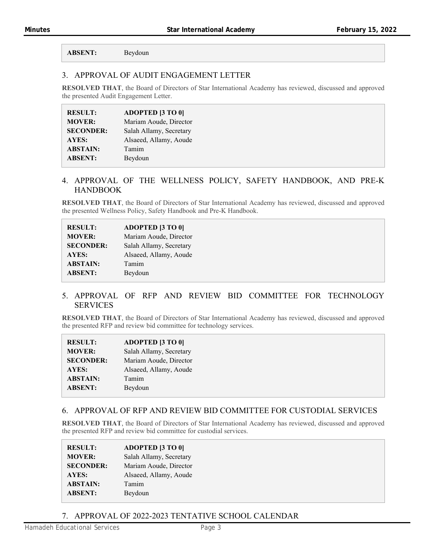**ABSENT:** Beydoun

## 3. APPROVAL OF AUDIT ENGAGEMENT LETTER

**RESOLVED THAT**, the Board of Directors of Star International Academy has reviewed, discussed and approved the presented Audit Engagement Letter.

| <b>RESULT:</b>   | <b>ADOPTED [3 TO 0]</b> |
|------------------|-------------------------|
| <b>MOVER:</b>    | Mariam Aoude, Director  |
| <b>SECONDER:</b> | Salah Allamy, Secretary |
| AYES:            | Alsaeed, Allamy, Aoude  |
| <b>ABSTAIN:</b>  | Tamim                   |
| <b>ABSENT:</b>   | Beydoun                 |

## 4. APPROVAL OF THE WELLNESS POLICY, SAFETY HANDBOOK, AND PRE-K **HANDBOOK**

**RESOLVED THAT**, the Board of Directors of Star International Academy has reviewed, discussed and approved the presented Wellness Policy, Safety Handbook and Pre-K Handbook.

| <b>RESULT:</b>   | <b>ADOPTED [3 TO 0]</b> |
|------------------|-------------------------|
| <b>MOVER:</b>    | Mariam Aoude, Director  |
| <b>SECONDER:</b> | Salah Allamy, Secretary |
| AYES:            | Alsaeed, Allamy, Aoude  |
| <b>ABSTAIN:</b>  | Tamim                   |
| <b>ABSENT:</b>   | Beydoun                 |
|                  |                         |

#### 5. APPROVAL OF RFP AND REVIEW BID COMMITTEE FOR TECHNOLOGY SERVICES

**RESOLVED THAT**, the Board of Directors of Star International Academy has reviewed, discussed and approved the presented RFP and review bid committee for technology services.

| <b>RESULT:</b>   | <b>ADOPTED [3 TO 0]</b> |
|------------------|-------------------------|
| <b>MOVER:</b>    | Salah Allamy, Secretary |
| <b>SECONDER:</b> | Mariam Aoude, Director  |
| <b>AYES:</b>     | Alsaeed, Allamy, Aoude  |
| <b>ABSTAIN:</b>  | Tamim                   |
| <b>ABSENT:</b>   | Beydoun                 |

#### 6. APPROVAL OF RFP AND REVIEW BID COMMITTEE FOR CUSTODIAL SERVICES

**RESOLVED THAT**, the Board of Directors of Star International Academy has reviewed, discussed and approved the presented RFP and review bid committee for custodial services.

| <b>RESULT:</b>   | <b>ADOPTED [3 TO 0]</b> |
|------------------|-------------------------|
| <b>MOVER:</b>    | Salah Allamy, Secretary |
| <b>SECONDER:</b> | Mariam Aoude, Director  |
| AYES:            | Alsaeed, Allamy, Aoude  |
| <b>ABSTAIN:</b>  | Tamim                   |
| <b>ABSENT:</b>   | Beydoun                 |

7. APPROVAL OF 2022-2023 TENTATIVE SCHOOL CALENDAR